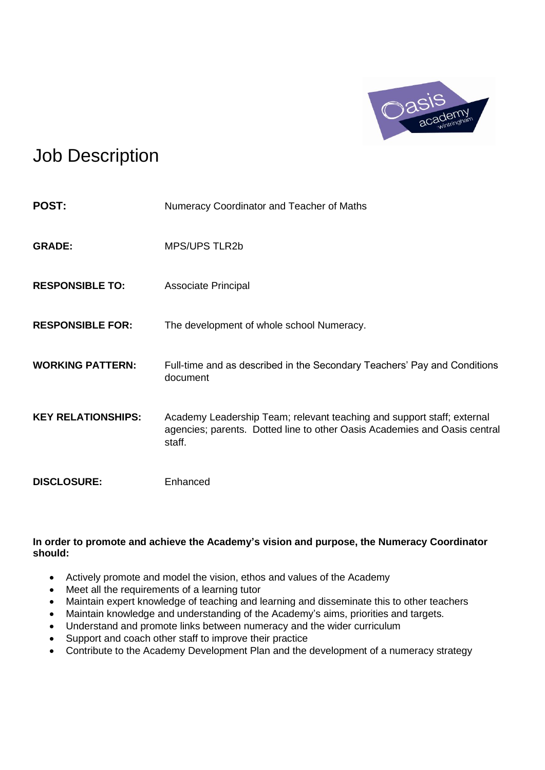

## Job Description

| <b>POST:</b>              | Numeracy Coordinator and Teacher of Maths                                                                                                                     |
|---------------------------|---------------------------------------------------------------------------------------------------------------------------------------------------------------|
| <b>GRADE:</b>             | <b>MPS/UPS TLR2b</b>                                                                                                                                          |
| <b>RESPONSIBLE TO:</b>    | Associate Principal                                                                                                                                           |
| <b>RESPONSIBLE FOR:</b>   | The development of whole school Numeracy.                                                                                                                     |
| <b>WORKING PATTERN:</b>   | Full-time and as described in the Secondary Teachers' Pay and Conditions<br>document                                                                          |
| <b>KEY RELATIONSHIPS:</b> | Academy Leadership Team; relevant teaching and support staff; external<br>agencies; parents. Dotted line to other Oasis Academies and Oasis central<br>staff. |
| <b>DISCLOSURE:</b>        | Enhanced                                                                                                                                                      |

## **In order to promote and achieve the Academy's vision and purpose, the Numeracy Coordinator should:**

- Actively promote and model the vision, ethos and values of the Academy
- Meet all the requirements of a learning tutor
- Maintain expert knowledge of teaching and learning and disseminate this to other teachers
- Maintain knowledge and understanding of the Academy's aims, priorities and targets.
- Understand and promote links between numeracy and the wider curriculum
- Support and coach other staff to improve their practice
- Contribute to the Academy Development Plan and the development of a numeracy strategy